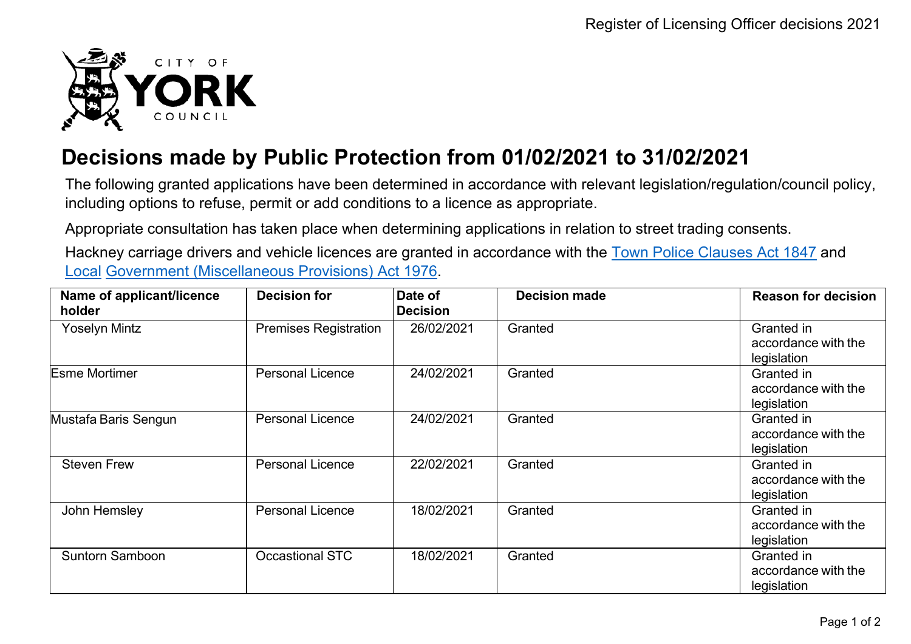

## **Decisions made by Public Protection from 01/02/2021 to 31/02/2021**

The following granted applications have been determined in accordance with relevant legislation/regulation/council policy, including options to refuse, permit or add conditions to a licence as appropriate.

Appropriate consultation has taken place when determining applications in relation to street trading consents.

Hackney carriage drivers and vehicle licences are granted in accordance with the Town Police [Clauses](http://www.legislation.gov.uk/ukpga/Vict/10-11/89) Act 1847 and [Local](http://www.legislation.gov.uk/ukpga/1976/57) [Government \(Miscellaneous Provisions\) Act 1976.](http://www.legislation.gov.uk/ukpga/1976/57)

| Name of applicant/licence<br>holder | <b>Decision for</b>          | Date of<br><b>Decision</b> | <b>Decision made</b> | <b>Reason for decision</b>                       |
|-------------------------------------|------------------------------|----------------------------|----------------------|--------------------------------------------------|
| <b>Yoselyn Mintz</b>                | <b>Premises Registration</b> | 26/02/2021                 | Granted              | Granted in<br>accordance with the<br>legislation |
| <b>Esme Mortimer</b>                | <b>Personal Licence</b>      | 24/02/2021                 | Granted              | Granted in<br>accordance with the<br>legislation |
| Mustafa Baris Sengun                | <b>Personal Licence</b>      | 24/02/2021                 | Granted              | Granted in<br>accordance with the<br>legislation |
| <b>Steven Frew</b>                  | <b>Personal Licence</b>      | 22/02/2021                 | Granted              | Granted in<br>accordance with the<br>legislation |
| John Hemsley                        | <b>Personal Licence</b>      | 18/02/2021                 | Granted              | Granted in<br>accordance with the<br>legislation |
| <b>Suntorn Samboon</b>              | <b>Occastional STC</b>       | 18/02/2021                 | Granted              | Granted in<br>accordance with the<br>legislation |